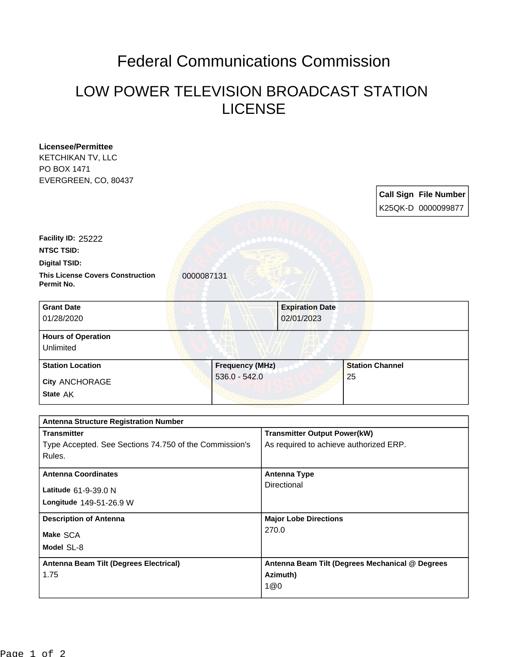## Federal Communications Commission

## LOW POWER TELEVISION BROADCAST STATION LICENSE

| <b>Licensee/Permittee</b>                              |                                        |                                     |                        |                                                 |
|--------------------------------------------------------|----------------------------------------|-------------------------------------|------------------------|-------------------------------------------------|
| <b>KETCHIKAN TV, LLC</b>                               |                                        |                                     |                        |                                                 |
| PO BOX 1471                                            |                                        |                                     |                        |                                                 |
| EVERGREEN, CO, 80437                                   |                                        |                                     |                        |                                                 |
|                                                        |                                        |                                     |                        | <b>Call Sign File Number</b>                    |
|                                                        |                                        |                                     |                        | K25QK-D 0000099877                              |
|                                                        |                                        |                                     |                        |                                                 |
| Facility ID: 25222                                     |                                        |                                     |                        |                                                 |
| <b>NTSC TSID:</b>                                      |                                        |                                     |                        |                                                 |
| <b>Digital TSID:</b>                                   |                                        |                                     |                        |                                                 |
| <b>This License Covers Construction</b><br>Permit No.  | 0000087131                             |                                     |                        |                                                 |
| <b>Grant Date</b>                                      |                                        | <b>Expiration Date</b>              |                        |                                                 |
| 01/28/2020                                             |                                        | 02/01/2023                          |                        |                                                 |
|                                                        |                                        |                                     |                        |                                                 |
| <b>Hours of Operation</b>                              |                                        |                                     |                        |                                                 |
| Unlimited                                              |                                        |                                     |                        |                                                 |
| <b>Station Location</b>                                | <b>Frequency (MHz)</b>                 |                                     | <b>Station Channel</b> |                                                 |
| City ANCHORAGE                                         | $536.0 - 542.0$                        |                                     | 25                     |                                                 |
| State AK                                               |                                        |                                     |                        |                                                 |
|                                                        |                                        |                                     |                        |                                                 |
| <b>Antenna Structure Registration Number</b>           |                                        |                                     |                        |                                                 |
| <b>Transmitter</b>                                     |                                        | <b>Transmitter Output Power(kW)</b> |                        |                                                 |
| Type Accepted. See Sections 74.750 of the Commission's | As required to achieve authorized ERP. |                                     |                        |                                                 |
| Rules.                                                 |                                        |                                     |                        |                                                 |
|                                                        |                                        |                                     |                        |                                                 |
| <b>Antenna Coordinates</b>                             |                                        | <b>Antenna Type</b><br>Directional  |                        |                                                 |
| Latitude 61-9-39.0 N                                   |                                        |                                     |                        |                                                 |
| Longitude 149-51-26.9 W                                |                                        |                                     |                        |                                                 |
| <b>Description of Antenna</b>                          |                                        | <b>Major Lobe Directions</b>        |                        |                                                 |
| Make SCA                                               |                                        | 270.0                               |                        |                                                 |
| Model SL-8                                             |                                        |                                     |                        |                                                 |
|                                                        |                                        |                                     |                        |                                                 |
| Antenna Beam Tilt (Degrees Electrical)                 |                                        |                                     |                        | Antenna Beam Tilt (Degrees Mechanical @ Degrees |
| 1.75                                                   |                                        | Azimuth)                            |                        |                                                 |
|                                                        |                                        | 1@0                                 |                        |                                                 |